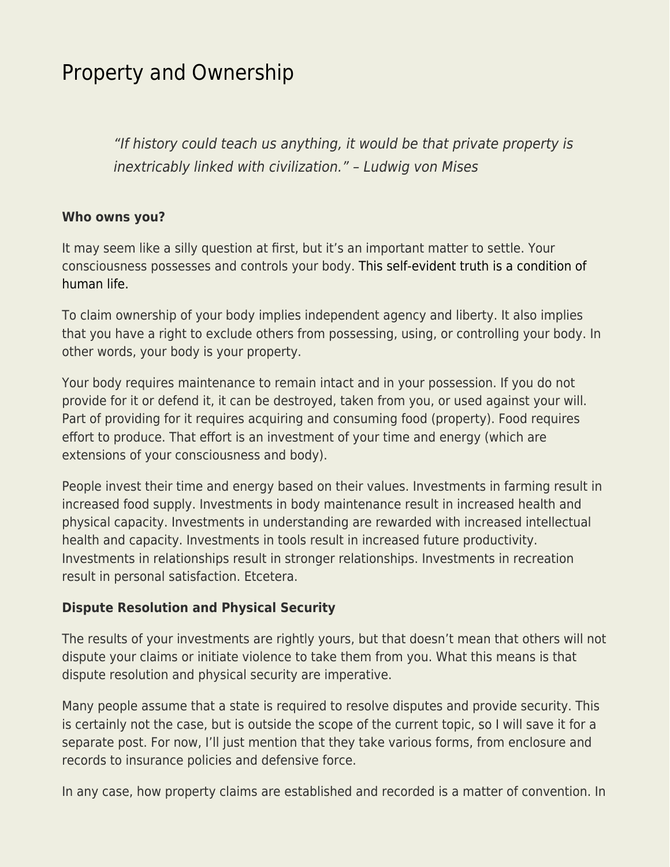## [Property and Ownership](https://everything-voluntary.com/property-and-ownership)

"If history could teach us anything, it would be that private property is inextricably linked with civilization." – Ludwig von Mises

## **Who owns you?**

It may seem like a silly question at first, but it's an important matter to settle. Your consciousness possesses and controls your body. [This self-evident truth is a condition of](http://www.livingvoluntary.com/natural-law-in-a-nutshell/) [human life.](http://www.livingvoluntary.com/natural-law-in-a-nutshell/)

To claim ownership of your body implies independent agency and liberty. It also implies that you have a right to exclude others from possessing, using, or controlling your body. In other words, your body is your property.

Your body requires maintenance to remain intact and in your possession. If you do not provide for it or defend it, it can be destroyed, taken from you, or used against your will. Part of providing for it requires acquiring and consuming food (property). Food requires effort to produce. That effort is an investment of your time and energy (which are extensions of your consciousness and body).

People invest their time and energy based on their values. Investments in farming result in increased food supply. Investments in body maintenance result in increased health and physical capacity. Investments in understanding are rewarded with increased intellectual health and capacity. Investments in tools result in increased future productivity. Investments in relationships result in stronger relationships. Investments in recreation result in personal satisfaction. Etcetera.

## **Dispute Resolution and Physical Security**

The results of your investments are rightly yours, but that doesn't mean that others will not dispute your claims or initiate violence to take them from you. What this means is that dispute resolution and physical security are imperative.

Many people assume that a state is required to resolve disputes and provide security. This is certainly not the case, but is outside the scope of the current topic, so I will save it for a separate post. For now, I'll just mention that they take various forms, from enclosure and records to insurance policies and defensive force.

In any case, how property claims are established and recorded is a matter of convention. In